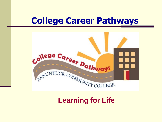# **College Career Pathways**



#### **Learning for Life**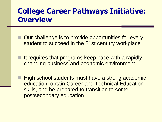# **College Career Pathways Initiative: Overview**

- Our challenge is to provide opportunities for every student to succeed in the 21st century workplace
- It requires that programs keep pace with a rapidly changing business and economic environment
- High school students must have a strong academic education, obtain Career and Technical Education skills, and be prepared to transition to some postsecondary education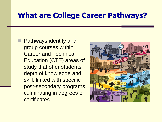#### **What are College Career Pathways?**

**Pathways identify and** group courses within Career and Technical Education (CTE) areas of study that offer students depth of knowledge and skill, linked with specific post-secondary programs culminating in degrees or certificates.

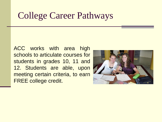# College Career Pathways

ACC works with area high schools to articulate courses for students in grades 10, 11 and 12. Students are able, upon meeting certain criteria, to earn FREE college credit.

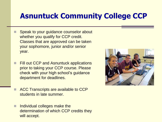# **Asnuntuck Community College CCP**

- Speak to your guidance counselor about whether you qualify for CCP credit. Classes that are approved can be taken your sophomore, junior and/or senior year.
- **Fill out CCP and Asnuntuck applications** prior to taking your CCP course. Please check with your high school's guidance department for deadlines.
- ACC Transcripts are available to CCP students in late summer.
- Individual colleges make the determination of which CCP credits they will accept.

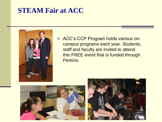#### **STEAM Fair at ACC**



ACC's CCP Program holds various oncampus programs each year. Students, staff and faculty are invited to attend this FREE event that is funded through Perkins.



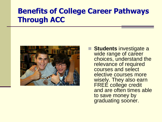# **Benefits of College Career Pathways Through ACC**



■ Students investigate a wide range of career choices, understand the relevance of required courses and select elective courses more wisely. They also earn FREÉ college credit and are often times able to save money by graduating sooner.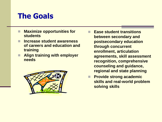### **The Goals**

- **Maximize opportunities for students**
- **Increase student awareness of careers and education and training**
- **Align training with employer needs**



- **Ease student transitions between secondary and postsecondary education through concurrent enrollment, articulation agreements, skill assessment recognition, comprehensive counseling and guidance, regional and state planning**
- **Provide strong academic skills and real-world problem solving skills**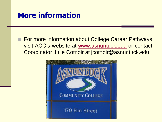#### **More information**

**For more information about College Career Pathways** visit ACC's website at [www.asnuntuck.edu](http://www.asnuntuck.edu/) or contact Coordinator Julie Cotnoir at jcotnoir@asnuntuck.edu